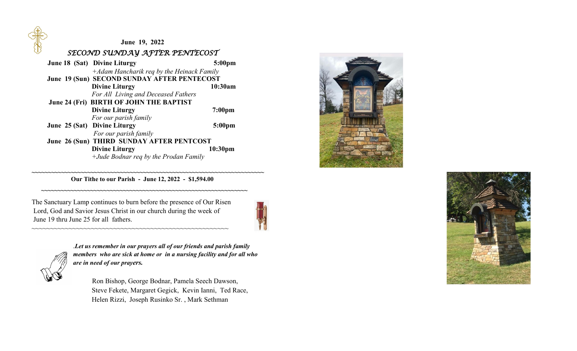**June 19, 2022**  *SECOND SUNDAY AFTER PENTECOST June 18* **(Sat) Divine Liturgy 5:00pm**  *+Adam Hancharik req by the Heinack Family*  **June 19 (Sun) SECOND SUNDAY AFTER PENTECOST Divine Liturgy** 10:30am *For All Living and Deceased Fathers* **June 24 (Fri) BIRTH OF JOHN THE BAPTIST Divine Liturgy** 7:00pm *For our parish family*  **June 25 (Sat) Divine Liturgy 5:00pm** *For our parish family*  **June 26 (Sun) THIRD SUNDAY AFTER PENTCOST Divine Liturgy** 10:30pm *+Jude Bodnar req by the Prodan Family* 

 **Our Tithe to our Parish - June 12, 2022 - \$1,594.00**

 **~~~~~~~~~~~~~~~~~~~~~~~~~~~~~~~~~~~~~~~~~~~~~~~~~~~~~~~~~~~~~~~** 

**~~~~~~~~~~~~~~~~~~~~~~~~~~~~~~~~~~~~~~~~~~~~~~~~~~~~~~~~~~~~~~~~~~~~~~~** 

The Sanctuary Lamp continues to burn before the presence of Our Risen Lord, God and Savior Jesus Christ in our church during the week of June 19 thru June 25 for all fathers.

~~~~~~~~~~~~~~~~~~~~~~~~~~~~~~~~~~~~~~~~~~~~~~~~~~~~~





.*Let us remember in our prayers all of our friends and parish family members who are sick at home or in a nursing facility and for all who are in need of our prayers.*

 Ron Bishop, George Bodnar, Pamela Seech Dawson, Steve Fekete, Margaret Gegick, Kevin Ianni, Ted Race, Helen Rizzi, Joseph Rusinko Sr. , Mark Sethman